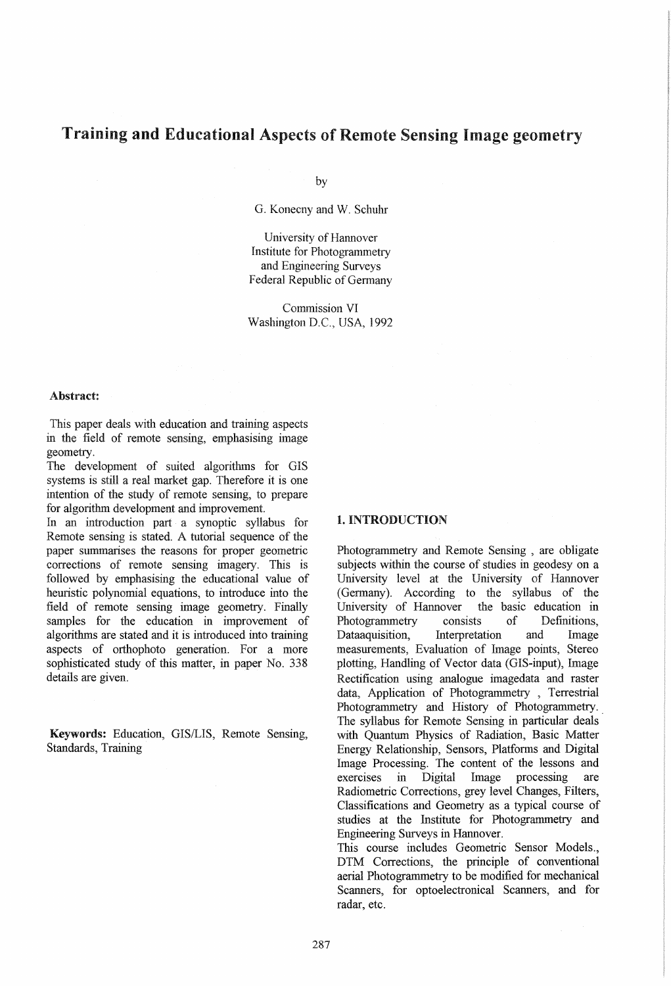# Training and Educational Aspects of Remote Sensing Image geometry

by

G. Konecny and W. Schuhr

University of Hannover Institute for Photogrammetry and Engineering Surveys Federal Republic of Germany

Commission VI Washington D.C., USA, 1992

#### Abstract:

This paper deals with education and training aspects in the field of remote sensing, emphasising image geometry.

The development of suited algorithms for GIS systems is still a real market gap. Therefore it is one intention of the study of remote sensing, to prepare for algorithm development and improvement.

In an introduction part a synoptic syllabus for Remote sensing is stated. A tutorial sequence of the paper summarises the reasons for proper geometric corrections of remote sensing imagery. This is followed by emphasising the educational value of heuristic polynomial equations, to introduce into the field of remote sensing image geometry. Finally samples for the education in improvement of algorithms are stated and it is introduced into training aspects of orthophoto generation. For a more sophisticated study of this matter, in paper No. 338 details are given.

Keywords: Education, GIS/LIS, Remote Sensing, Standards, Training

#### 1. INTRODUCTION

Photogrammetry and Remote Sensing , are obligate subjects within the course of studies in geodesy on a University level at the University of Hannover (Germany). According to the syllabus of the University of Hannover the basic education in University of Hannover Photogrammetry consists of Definitions, Dataaquisition, Interpretation and Image measurements, Evaluation of Image points, Stereo plotting, Handling of Vector data (GIS-input), Image Rectification using analogue imagedata and raster data, Application of Photogrammetry , Terrestrial Photogrammetry and History of Photogrammetry. The syllabus for Remote Sensing in particular deals with Quantum Physics of Radiation, Basic Matter Energy Relationship, Sensors, Platforms and Digital Image Processing. The content of the lessons and exercises in Digital Image processing are Radiometric Corrections, grey level Changes, Filters, Classifications and Geometry as a typical course of studies at the Institute for Photogrammetry and Engineering Surveys in Hannover.

This course includes Geometric Sensor Models., DTM Corrections, the principle of conventional aerial Photogrammetry to be modified for mechanical Scanners, for optoelectronical Scanners, and for radar, etc.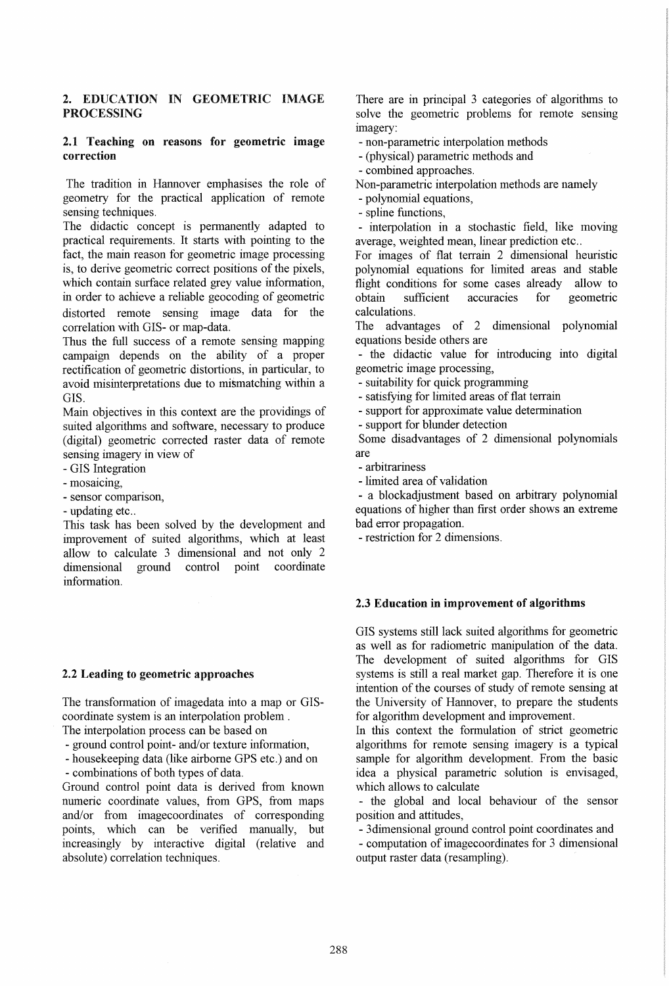# 2. EDUCATION IN GEOMETRIC IMAGE PROCESSING

## 2.1 Teaching on reasons for geometric image correction

The tradition in Hannover emphasises the role of geometry for the practical application of remote sensing techniques.

The didactic concept is permanently adapted to practical requirements. It starts with pointing to the fact, the main reason for geometric image processing is, to derive geometric correct positions of the pixels, which contain surface related grey value information, in order to achieve a reliable geocoding of geometric distorted remote sensing image data for the correlation with GIS- or map-data.

Thus the full success of a remote sensing mapping campaign depends on the ability of a proper rectification of geometric distortions, in particular, to avoid misinterpretations due to mismatching within a GIS.

Main objectives in this context are the providings of suited algorithms and software, necessary to produce (digital) geometric corrected raster data of remote sensing imagery in view of

- GIS Integration

- mosaicing,

- sensor comparison,

- updating etc..

This task has been solved by the development and improvement of suited algorithms, which at least allow to calculate 3 dimensional and not only 2 dimensional ground control point coordinate information.

## 2.2 Leading to geometric approaches

The transformation of imagedata into a map or GIScoordinate system is an interpolation problem.

The interpolation process can be based on

- ground control point- and/or texture information,

- housekeeping data (like airborne GPS etc.) and on

- combinations of both types of data.

Ground control point data is derived from known numeric coordinate values, from GPS, from maps and/or from imagecoordinates of corresponding points, which can be verified manually, but increasingly by interactive digital (relative and absolute) correlation techniques.

There are in principal 3 categories of algorithms to solve the geometric problems for remote sensing imagery:

- non-parametric interpolation methods

- (physical) parametric methods and

- combined approaches.

Non-parametric interpolation methods are namely

- polynomial equations,

- spline functions,

- interpolation in a stochastic field, like moving average, weighted mean, linear prediction etc..

For images of flat terrain 2 dimensional heuristic polynomial equations for limited areas and stable flight conditions for some cases already allow to obtain sufficient accuracies for geometric accuracies for geometric calculations.

The advantages of 2 dimensional polynomial equations beside others are

- the didactic value for introducing into digital geometric image processing,

- suitability for quick programming

- satisfying for limited areas of flat terrain

- support for approximate value determination

- support for blunder detection

Some disadvantages of 2 dimensional polynomials are

- arbitrariness

- limited area of validation

- a blockadjustment based on arbitrary polynomial equations of higher than first order shows an extreme bad error propagation.

- restriction for 2 dimensions.

## 2.3 Education **in** improvement of algorithms

GIS systems still lack suited algorithms for geometric as well as for radiometric manipulation of the data. The development of suited algorithms for GIS systems is still a real market gap. Therefore it is one intention of the courses of study of remote sensing at the University of Hannover, to prepare the students for algorithm development and improvement.

In this context the formulation of strict geometric algorithms for remote sensing imagery is a typical sample for algorithm development. From the basic idea a physical parametric solution is envisaged, which allows to calculate

- the global and local behaviour of the sensor position and attitudes,

- 3dimensional ground control point coordinates and - computation of imagecoordinates for 3 dimensional output raster data (resampling).